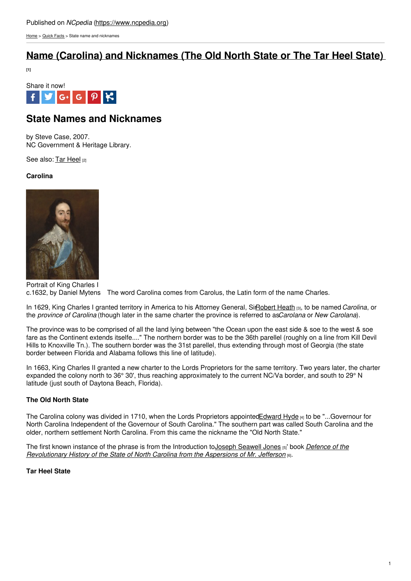[Home](https://www.ncpedia.org/) > [Quick](https://www.ncpedia.org/about/quickfacts) Facts > State name and nicknames

# **Name (Carolina) and [Nicknames](https://www.ncpedia.org/name-carolina-and-nicknames-old) (The Old North State or The Tar Heel State)**

**[1]**



## **State Names and Nicknames**

by Steve Case, 2007. NC Government & Heritage Library.

See also: Tar [Heel](https://www.ncpedia.org/tar-heel) [2]

### **Carolina**



Portrait of King Charles I c.1632, by Daniel Mytens The word Carolina comes from Carolus, the Latin form of the name Charles.

In 1629, King Charles I granted territory in America to his Attorney General, Si[rRobert](https://www.ncpedia.org/biography/heath-robert) Heath [3], to be named *Carolina*, or the *province of Carolina* (though later in the same charter the province is referred to as*Carolana* or *New Carolana*).

The province was to be comprised of all the land lying between "the Ocean upon the east side & soe to the west & soe fare as the Continent extends itselfe...." The northern border was to be the 36th parellel (roughly on a line from Kill Devil Hills to Knoxville Tn.). The southern border was the 31st parellel, thus extending through most of Georgia (the state border between Florida and Alabama follows this line of latitude).

In 1663, King Charles II granted a new charter to the Lords Proprietors for the same territory. Two years later, the charter expanded the colony north to 36° 30', thus reaching approximately to the current NC/Va border, and south to 29° N latitude (just south of Daytona Beach, Florida).

### **The Old North State**

The Carolina colony was divided in 1710, when the Lords Proprietors appointe[dEdward](https://www.ncpedia.org/hyde-edward) Hyde [4] to be "...Governour for North Carolina Independent of the Governour of South Carolina." The southern part was called South Carolina and the older, northern settlement North Carolina. From this came the nickname the "Old North State."

The first known instance of the phrase is from the Introduction toJoseph [Seawell](https://www.ncpedia.org/biography/jones-joseph-seawell) Jones [5]' book *Defence of the [Revolutionary](https://archive.org/details/defenceofrevolut00jone) History of the State of North Carolina from the Aspersions of Mr. Jefferson* [6].

### **Tar Heel State**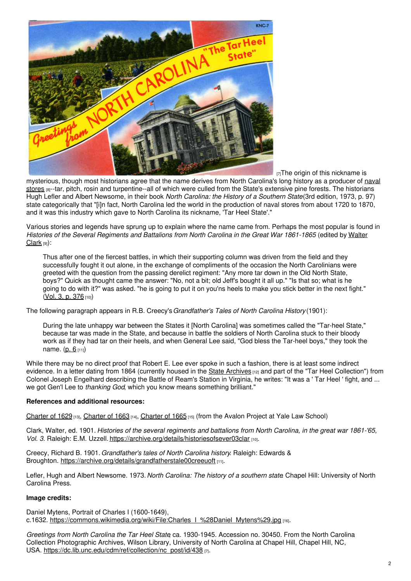

 $[T]$ The origin of this nickname is

mysterious, though most historians agree that the name derives from North Carolina's long history as a producer of naval stores [8]--tar, pitch, rosin and [turpentine--all](https://www.ncpedia.org/naval-stores) of which were culled from the State's extensive pine forests. The historians Hugh Lefler and Albert Newsome, in their book *North Carolina: the History of a Southern State*(3rd edition, 1973, p. 97) state categorically that "[i]n fact, North Carolina led the world in the production of naval stores from about 1720 to 1870, and it was this industry which gave to North Carolina its nickname, 'Tar Heel State'."

Various stories and legends have sprung up to explain where the name came from. Perhaps the most popular is found in *Histories of the Several Regiments and Battalions from North Carolina in the Great War [1861-1865](https://www.ncpedia.org/biography/clark-walter-oah)* (edited by Walter Clark [9]):

Thus after one of the fiercest battles, in which their supporting column was driven from the field and they successfully fought it out alone, in the exchange of compliments of the occasion the North Carolinians were greeted with the question from the passing derelict regiment: "Any more tar down in the Old North State, boys?" Quick as thought came the answer: "No, not a bit; old Jeff's bought it all up." "Is that so; what is he going to do with it?" was asked. "he is going to put it on you'ns heels to make you stick better in the next fight." [\(Vol.](https://archive.org/details/historiesofsever03clar) 3, p. 376 [10])

The following paragraph appears in R.B. Creecy's*Grandfather's Tales of North Carolina History* (1901):

During the late unhappy war between the States it [North Carolina] was sometimes called the "Tar-heel State," because tar was made in the State, and because in battle the soldiers of North Carolina stuck to their bloody work as if they had tar on their heels, and when General Lee said, "God bless the Tar-heel boys," they took the name. [\(p.](https://archive.org/details/grandfatherstale00creeuoft)  $6_{[11]}$ )

While there may be no direct proof that Robert E. Lee ever spoke in such a fashion, there is at least some indirect evidence. In a letter dating from 1864 (currently housed in the State [Archives](https://archives.ncdcr.gov) [12] and part of the "Tar Heel Collection") from Colonel Joseph Engelhard describing the Battle of Ream's Station in Virginia, he writes: "It was a ' Tar Heel ' fight, and ... we got Gen'l Lee to *thanking God*, which you know means something brilliant."

### **References and additional resources:**

[Charter](https://avalon.law.yale.edu/17th_century/nc04.asp) of 1629 [13], Charter of 1663 [14], Charter of 1665 [15] (from the Avalon Project at Yale Law School)

Clark, Walter, ed. 1901. Histories of the several regiments and battalions from North Carolina, in the great war 1861-'65. *Vol.* 3. Raleigh: E.M. Uzzell. <https://archive.org/details/historiesofsever03clar> [10].

Creecy, Richard B. 1901.*Grandfather's tales of North Carolina history*. Raleigh: Edwards & Broughton. <https://archive.org/details/grandfatherstale00creeuoft> [11].

Lefler, Hugh and Albert Newsome. 1973.*North Carolina: The history of a southern state*. Chapel Hill: University of North Carolina Press.

#### **Image credits:**

Daniel Mytens, Portrait of Charles I (1600-1649), c.1632. [https://commons.wikimedia.org/wiki/File:Charles\\_I\\_%28Daniel\\_Mytens%29.jpg](https://commons.wikimedia.org/wiki/File:Charles_I_%28Daniel_Mytens%29.jpg) [16].

*Greetings from North Carolina the Tar Heel State*, ca. 1930-1945. Accession no. 30450. From the North Carolina Collection Photographic Archives, Wilson Library, University of North Carolina at Chapel Hill, Chapel Hill, NC, USA. [https://dc.lib.unc.edu/cdm/ref/collection/nc\\_post/id/438](https://dc.lib.unc.edu/cdm/ref/collection/nc_post/id/438) [7].